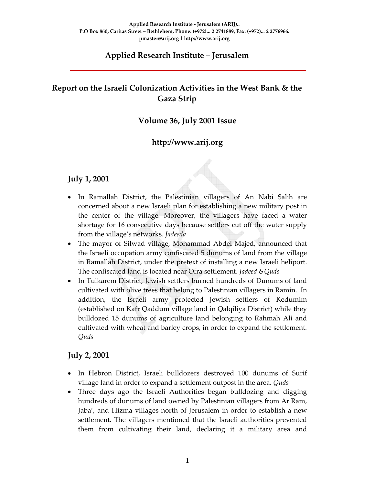#### **Applied Research Institute – Jerusalem**

# **Report on the Israeli Colonization Activities in the West Bank & the Gaza Strip**

#### **Volume 36, July 2001 Issue**

### **http://www.arij.org**

#### **July 1, 2001**

- In Ramallah District, the Palestinian villagers of An Nabi Salih are concerned about a new Israeli plan for establishing a new military post in the center of the village*.* Moreover, the villagers have faced a water shortage for 16 consecutive days because settlers cut off the water supply from the village's networks. *Jadeeda*
- The mayor of Silwad village, Mohammad Abdel Majed, announced that the Israeli occupation army confiscated 5 dunums of land from the village in Ramallah District, under the pretext of installing a new Israeli heliport. The confiscated land is located near Ofra settlement. *Jadeed &Quds*
- In Tulkarem District, Jewish settlers burned hundreds of Dunums of land cultivated with olive trees that belong to Palestinian villagers in Ramin. In addition, the Israeli army protected Jewish settlers of Kedumim (established on Kafr Qaddum village land in Qalqiliya District) while they bulldozed 15 dunums of agriculture land belonging to Rahmah Ali and cultivated with wheat and barley crops, in order to expand the settlement*. Quds*

#### **July 2, 2001**

- In Hebron District, Israeli bulldozers destroyed 100 dunums of Surif village land in order to expand a settlement outpost in the area. *Quds*
- Three days ago the Israeli Authorities began bulldozing and digging hundreds of dunums of land owned by Palestinian villagers from Ar Ram, Jaba', and Hizma villages north of Jerusalem in order to establish a new settlement. The villagers mentioned that the Israeli authorities prevented them from cultivating their land, declaring it a military area and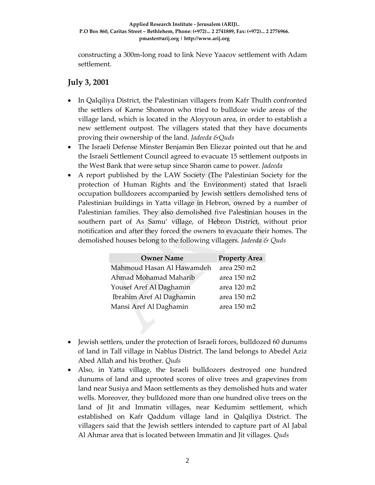constructing a 300m‐long road to link Neve Yaacov settlement with Adam settlement.

### **July 3, 2001**

- In Qalqiliya District, the Palestinian villagers from Kafr Thulth confronted the settlers of Karne Shomron who tried to bulldoze wide areas of the village land, which is located in the Aloyyoun area, in order to establish a new settlement outpost. The villagers stated that they have documents proving their ownership of the land. *Jadeeda &Quds*
- The Israeli Defense Minster Benjamin Ben Eliezar pointed out that he and the Israeli Settlement Council agreed to evacuate 15 settlement outposts in the West Bank that were setup since Sharon came to power. *Jadeeda*
- A report published by the LAW Society (The Palestinian Society for the protection of Human Rights and the Environment) stated that Israeli occupation bulldozers accompanied by Jewish settlers demolished tens of Palestinian buildings in Yatta village in Hebron, owned by a number of Palestinian families. They also demolished five Palestinian houses in the southern part of As Samu' village, of Hebron District, without prior notification and after they forced the owners to evacuate their homes. The demolished houses belong to the following villagers. *Jadeeda & Quds*

| <b>Owner Name</b>         | <b>Property Area</b> |
|---------------------------|----------------------|
| Mahmoud Hasan Al Hawamdeh | area 250 m2          |
| Ahmad Mohamad Maharib     | area 150 m2          |
| Yousef Aref Al Daghamin   | area 120 m2          |
| Ibrahim Aref Al Daghamin  | area 150 m2          |
| Mansi Aref Al Daghamin    | area 150 m2          |

- Jewish settlers, under the protection of Israeli forces, bulldozed 60 dunums of land in Tall village in Nablus District. The land belongs to Abedel Aziz Abed Allah and his brother. *Quds*
- Also, in Yatta village, the Israeli bulldozers destroyed one hundred dunums of land and uprooted scores of olive trees and grapevines from land near Susiya and Maon settlements as they demolished huts and water wells. Moreover, they bulldozed more than one hundred olive trees on the land of Jit and Immatin villages, near Kedumim settlement, which established on Kafr Qaddum village land in Qalqiliya District. The villagers said that the Jewish settlers intended to capture part of Al Jabal Al Ahmar area that is located between Immatin and Jit villages. *Quds*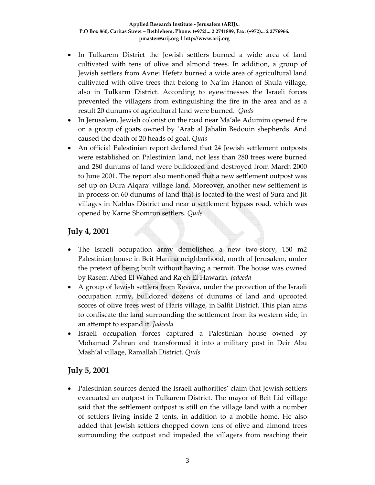- In Tulkarem District the Jewish settlers burned a wide area of land cultivated with tens of olive and almond trees. In addition, a group of Jewish settlers from Avnei Hefetz burned a wide area of agricultural land cultivated with olive trees that belong to Na'im Hanon of Shufa village, also in Tulkarm District. According to eyewitnesses the Israeli forces prevented the villagers from extinguishing the fire in the area and as a result 20 dunums of agricultural land were burned. *Quds*
- In Jerusalem, Jewish colonist on the road near Ma'ale Adumim opened fire on a group of goats owned by 'Arab al Jahalin Bedouin shepherds. And caused the death of 20 heads of goat. *Quds*
- An official Palestinian report declared that 24 Jewish settlement outposts were established on Palestinian land, not less than 280 trees were burned and 280 dunums of land were bulldozed and destroyed from March 2000 to June 2001. The report also mentioned that a new settlement outpost was set up on Dura Alqara' village land. Moreover, another new settlement is in process on 60 dunums of land that is located to the west of Sura and Jit villages in Nablus District and near a settlement bypass road, which was opened by Karne Shomron settlers. *Quds*

### **July 4, 2001**

- The Israeli occupation army demolished a new two-story, 150 m2 Palestinian house in Beit Hanina neighborhood, north of Jerusalem, under the pretext of being built without having a permit. The house was owned by Rasem Abed El Wahed and Rajeh El Hawarin. *Jadeeda*
- A group of Jewish settlers from Revava, under the protection of the Israeli occupation army, bulldozed dozens of dunums of land and uprooted scores of olive trees west of Haris village, in Salfit District. This plan aims to confiscate the land surrounding the settlement from its western side, in an attempt to expand it. *Jadeeda*
- Israeli occupation forces captured a Palestinian house owned by Mohamad Zahran and transformed it into a military post in Deir Abu Mash'al village, Ramallah District. *Quds*

# **July 5, 2001**

• Palestinian sources denied the Israeli authorities' claim that Jewish settlers evacuated an outpost in Tulkarem District. The mayor of Beit Lid village said that the settlement outpost is still on the village land with a number of settlers living inside 2 tents, in addition to a mobile home. He also added that Jewish settlers chopped down tens of olive and almond trees surrounding the outpost and impeded the villagers from reaching their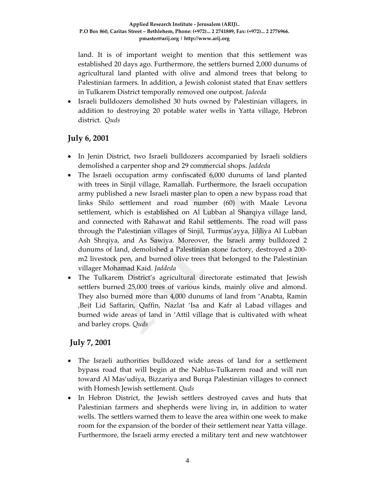land. It is of important weight to mention that this settlement was established 20 days ago. Furthermore, the settlers burned 2,000 dunums of agricultural land planted with olive and almond trees that belong to Palestinian farmers. In addition, a Jewish colonist stated that Enav settlers in Tulkarem District temporally removed one outpost. *Jadeeda*

• Israeli bulldozers demolished 30 huts owned by Palestinian villagers, in addition to destroying 20 potable water wells in Yatta village, Hebron district*. Quds*

### **July 6, 2001**

- In Jenin District, two Israeli bulldozers accompanied by Israeli soldiers demolished a carpenter shop and 29 commercial shops. *Jaddeda*
- The Israeli occupation army confiscated 6,000 dunums of land planted with trees in Sinjil village, Ramallah. Furthermore, the Israeli occupation army published a new Israeli master plan to open a new bypass road that links Shilo settlement and road number (60) with Maale Levona settlement, which is established on Al Lubban al Sharqiya village land, and connected with Rahawat and Rahil settlements. The road will pass through the Palestinian villages of Sinjil, Turmus'ayya, Jiljliya Al Lubban Ash Shrqiya, and As Sawiya. Moreover, the Israeli army bulldozed 2 dunums of land, demolished a Palestinian stone factory, destroyed a 200‐ m2 livestock pen, and burned olive trees that belonged to the Palestinian villager Mohamad Kaid. *Jaddeda*
- The Tulkarem District's agricultural directorate estimated that Jewish settlers burned 25,000 trees of various kinds, mainly olive and almond. They also burned more than 4,000 dunums of land from 'Anabta, Ramin ,Beit Lid Saffarin, Qaffin, Nazlat 'Isa and Kafr al Labad villages and burned wide areas of land in 'Attil village that is cultivated with wheat and barley crops. *Quds*

# **July 7, 2001**

- The Israeli authorities bulldozed wide areas of land for a settlement bypass road that will begin at the Nablus‐Tulkarem road and will run toward Al Mas'udiya, Bizzariya and Burqa Palestinian villages to connect with Homesh Jewish settlement. *Quds*
- In Hebron District, the Jewish settlers destroyed caves and huts that Palestinian farmers and shepherds were living in, in addition to water wells. The settlers warned them to leave the area within one week to make room for the expansion of the border of their settlement near Yatta village. Furthermore, the Israeli army erected a military tent and new watchtower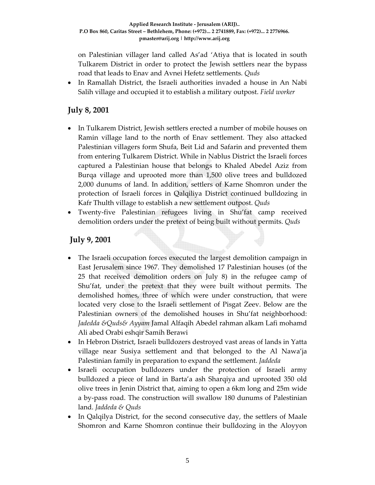on Palestinian villager land called As'ad 'Atiya that is located in south Tulkarem District in order to protect the Jewish settlers near the bypass road that leads to Enav and Avnei Hefetz settlements. *Quds*

• In Ramallah District, the Israeli authorities invaded a house in An Nabi Salih village and occupied it to establish a military outpost. *Field worker*

### **July 8, 2001**

- In Tulkarem District, Jewish settlers erected a number of mobile houses on Ramin village land to the north of Enav settlement. They also attacked Palestinian villagers form Shufa, Beit Lid and Safarin and prevented them from entering Tulkarem District. While in Nablus District the Israeli forces captured a Palestinian house that belongs to Khaled Abedel Aziz from Burqa village and uprooted more than 1,500 olive trees and bulldozed 2,000 dunums of land. In addition, settlers of Karne Shomron under the protection of Israeli forces in Qalqiliya District continued bulldozing in Kafr Thulth village to establish a new settlement outpost. *Quds*
- Twenty‐five Palestinian refugees living in Shu'fat camp received demolition orders under the pretext of being built without permits. *Quds*

### **July 9, 2001**

- The Israeli occupation forces executed the largest demolition campaign in East Jerusalem since 1967. They demolished 17 Palestinian houses (of the 25 that received demolition orders on July 8) in the refugee camp of Shu'fat, under the pretext that they were built without permits. The demolished homes, three of which were under construction, that were located very close to the Israeli settlement of Pisgat Zeev. Below are the Palestinian owners of the demolished houses in Shu'fat neighborhood: *Jadedda &Quds& Ayyam* Jamal Alfaqih Abedel rahman alkam Lafi mohamd Ali abed Orabi eshqir Samih Berawi
- In Hebron District, Israeli bulldozers destroyed vast areas of lands in Yatta village near Susiya settlement and that belonged to the Al Nawa'ja Palestinian family in preparation to expand the settlement. *Jaddeda*
- Israeli occupation bulldozers under the protection of Israeli army bulldozed a piece of land in Barta'a ash Sharqiya and uprooted 350 old olive trees in Jenin District that, aiming to open a 6km long and 25m wide a by‐pass road. The construction will swallow 180 dunums of Palestinian land. *Jaddeda & Quds*
- In Qalqilya District, for the second consecutive day, the settlers of Maale Shomron and Karne Shomron continue their bulldozing in the Aloyyon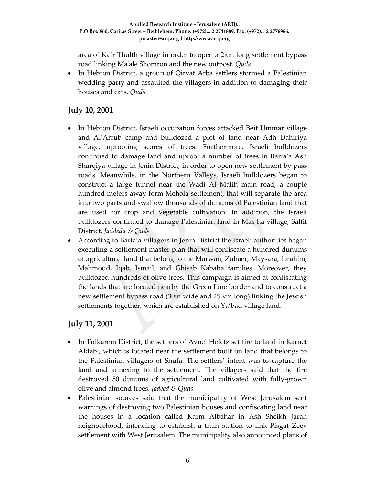area of Kafr Thulth village in order to open a 2km long settlement bypass road linking Maʹale Shomron and the new outpost. *Quds*

• In Hebron District, a group of Qiryat Arba settlers stormed a Palestinian wedding party and assaulted the villagers in addition to damaging their houses and cars. *Quds*

# **July 10, 2001**

- In Hebron District, Israeli occupation forces attacked Beit Ummar village and Al'Arrub camp and bulldozed a plot of land near Adh Dahiriya village, uprooting scores of trees. Furthermore, Israeli bulldozers continued to damage land and uproot a number of trees in Barta'a Ash Sharqiya village in Jenin District, in order to open new settlement by pass roads. Meanwhile, in the Northern Valleys, Israeli bulldozers began to construct a large tunnel near the Wadi Al Malih main road, a couple hundred meters away form Mehola settlement, that will separate the area into two parts and swallow thousands of dunums of Palestinian land that are used for crop and vegetable cultivation. In addition, the Israeli bulldozers continued to damage Palestinian land in Mas‐ha village, Salfit District. *Jaddeda & Quds*
- According to Barta'a villagers in Jenin District the Israeli authorities began executing a settlement master plan that will confiscate a hundred dunums of agricultural land that belong to the Marwan, Zuhaer, Maysara, Ibrahim, Mahmoud, Iqab, Ismail, and Ghisab Kabaha families. Moreover, they bulldozed hundreds of olive trees. This campaign is aimed at confiscating the lands that are located nearby the Green Line border and to construct a new settlement bypass road (30m wide and 25 km long) linking the Jewish settlements together, which are established on Ya'bad village land.

# **July 11, 2001**

- In Tulkarem District, the settlers of Avnei Hefetz set fire to land in Karnet Aldab', which is located near the settlement built on land that belongs to the Palestinian villagers of Shufa. The settlers' intent was to capture the land and annexing to the settlement. The villagers said that the fire destroyed 50 dunums of agricultural land cultivated with fully‐grown olive and almond trees. *Jadeed & Quds*
- Palestinian sources said that the municipality of West Jerusalem sent warnings of destroying two Palestinian houses and confiscating land near the houses in a location called Karm Albahar in Ash Sheikh Jarah neighborhood, intending to establish a train station to link Pisgat Zeev settlement with West Jerusalem. The municipality also announced plans of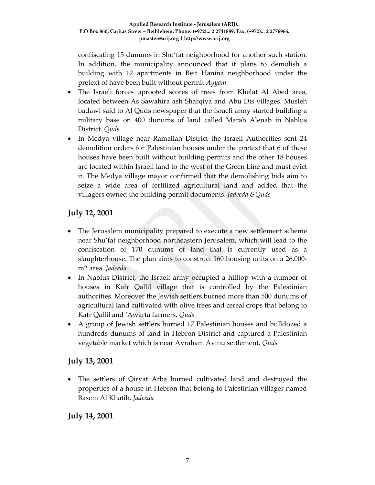confiscating 15 dunums in Shu'fat neighborhood for another such station. In addition, the municipality announced that it plans to demolish a building with 12 apartments in Beit Hanina neighborhood under the pretext of have been built without permit *Ayyam*

- The Israeli forces uprooted scores of trees from Khelat Al Abed area, located between As Sawahira ash Sharqiya and Abu Dis villages. Musleh badawi said to Al Quds newspaper that the Israeli army started building a military base on 400 dunums of land called Marah Alenab in Nablus District. *Quds*
- In Medya village near Ramallah District the Israeli Authorities sent 24 demolition orders for Palestinian houses under the pretext that 6 of these houses have been built without building permits and the other 18 houses are located within Israeli land to the west of the Green Line and must evict it. The Medya village mayor confirmed that the demolishing bids aim to seize a wide area of fertilized agricultural land and added that the villagers owned the building permit documents. *Jadeeda &Quds*

### **July 12, 2001**

- The Jerusalem municipality prepared to execute a new settlement scheme near Shu'fat neighborhood northeastern Jerusalem, which will lead to the confiscation of 170 dunums of land that is currently used as a slaughterhouse. The plan aims to construct 160 housing units on a 26,000‐ m2 area. *Jadeeda*
- In Nablus District, the Israeli army occupied a hilltop with a number of houses in Kafr Qallil village that is controlled by the Palestinian authorities. Moreover the Jewish settlers burned more than 500 dunums of agricultural land cultivated with olive trees and cereal crops that belong to Kafr Qallil and 'Awarta farmers. *Quds*
- A group of Jewish settlers burned 17 Palestinian houses and bulldozed a hundreds dunums of land in Hebron District and captured a Palestinian vegetable market which is near Avraham Avinu settlement. *Quds*

#### **July 13, 2001**

• The settlers of Qiryat Arba burned cultivated land and destroyed the properties of a house in Hebron that belong to Palestinian villager named Basem Al Khatib. *Jadeeda*

# **July 14, 2001**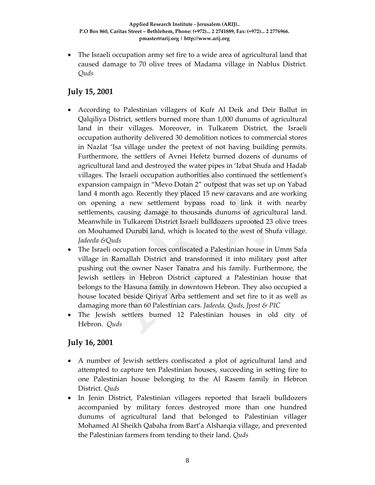• The Israeli occupation army set fire to a wide area of agricultural land that caused damage to 70 olive trees of Madama village in Nablus District*. Quds*

### **July 15, 2001**

- According to Palestinian villagers of Kufr Al Deik and Deir Ballut in Qalqiliya District, settlers burned more than 1,000 dunums of agricultural land in their villages. Moreover, in Tulkarem District, the Israeli occupation authority delivered 30 demolition notices to commercial stores in Nazlat 'Isa village under the pretext of not having building permits. Furthermore, the settlers of Avnei Hefetz burned dozens of dunums of agricultural land and destroyed the water pipes in 'Izbat Shufa and Hadab villages. The Israeli occupation authorities also continued the settlementʹs expansion campaign in "Mevo Dotan 2" outpost that was set up on Yabad land 4 month ago. Recently they placed 15 new caravans and are working on opening a new settlement bypass road to link it with nearby settlements, causing damage to thousands dunums of agricultural land. Meanwhile in Tulkarem District Israeli bulldozers uprooted 23 olive trees on Mouhamed Durubi land, which is located to the west of Shufa village. *Jadeeda &Quds*
- The Israeli occupation forces confiscated a Palestinian house in Umm Safa village in Ramallah District and transformed it into military post after pushing out the owner Naser Tanatra and his family. Furthermore, the Jewish settlers in Hebron District captured a Palestinian house that belongs to the Hasuna family in downtown Hebron. They also occupied a house located beside Qiriyat Arba settlement and set fire to it as well as damaging more than 60 Palestinian cars. *Jadeeda, Quds, Jpost & PIC*
- The Jewish settlers burned 12 Palestinian houses in old city of Hebron. *Quds*

# **July 16, 2001**

- A number of Jewish settlers confiscated a plot of agricultural land and attempted to capture ten Palestinian houses, succeeding in setting fire to one Palestinian house belonging to the Al Rasem family in Hebron District*. Quds*
- In Jenin District, Palestinian villagers reported that Israeli bulldozers accompanied by military forces destroyed more than one hundred dunums of agricultural land that belonged to Palestinian villager Mohamed Al Sheikh Qabaha from Bart'a Alsharqia village, and prevented the Palestinian farmers from tending to their land. *Quds*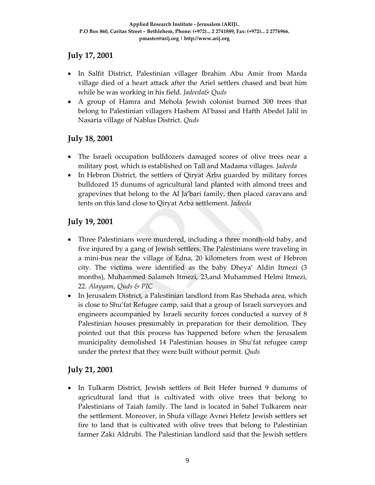### **July 17, 2001**

- In Salfit District, Palestinian villager Ibrahim Abu Amir from Marda village died of a heart attack after the Ariel settlers chased and beat him while he was working in his field. *Jadeeda& Quds*
- A group of Hamra and Mehola Jewish colonist burned 300 trees that belong to Palestinian villagers Hashem Al'bassi and Hafth Abedel Jalil in Nasaria village of Nablus District. *Quds*

# **July 18, 2001**

- The Israeli occupation bulldozers damaged scores of olive trees near a military post, which is established on Tall and Madama villages. *Jadeeda*
- In Hebron District, the settlers of Qiryat Arba guarded by military forces bulldozed 15 dunums of agricultural land planted with almond trees and grapevines that belong to the Al Ja'bari family, then placed caravans and tents on this land close to Qiryat Arba settlement. *Jadeeda*

# **July 19, 2001**

- Three Palestinians were murdered, including a three month‐old baby, and five injured by a gang of Jewish settlers. The Palestinians were traveling in a mini‐bus near the village of Edna, 20 kilometers from west of Hebron city. The victims were identified as the baby Dheya' Aldin Itmezi (3 months), Muhammed Salameh Itmezi, 23,and Muhammed Helmi Itmezi, 22. *Alayyam*, *Quds & PIC*
- In Jerusalem District, a Palestinian landlord from Ras Shehada area, which is close to Shu'fat Refugee camp, said that a group of Israeli surveyors and engineers accompanied by Israeli security forces conducted a survey of 8 Palestinian houses presumably in preparation for their demolition. They pointed out that this process has happened before when the Jerusalem municipality demolished 14 Palestinian houses in Shu'fat refugee camp under the pretext that they were built without permit*. Quds*

# **July 21, 2001**

• In Tulkarm District, Jewish settlers of Beit Hefer burned 9 dunums of agricultural land that is cultivated with olive trees that belong to Palestinians of Taiah family. The land is located in Sahel Tulkarem near the settlement. Moreover, in Shufa village Avnei Hefetz Jewish settlers set fire to land that is cultivated with olive trees that belong to Palestinian farmer Zaki Aldrubi. The Palestinian landlord said that the Jewish settlers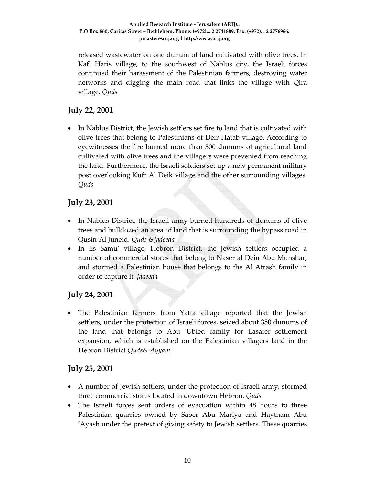released wastewater on one dunum of land cultivated with olive trees. In Kafl Haris village, to the southwest of Nablus city, the Israeli forces continued their harassment of the Palestinian farmers, destroying water networks and digging the main road that links the village with Qira village. *Quds*

# **July 22, 2001**

• In Nablus District, the Jewish settlers set fire to land that is cultivated with olive trees that belong to Palestinians of Deir Hatab village. According to eyewitnesses the fire burned more than 300 dunums of agricultural land cultivated with olive trees and the villagers were prevented from reaching the land. Furthermore, the Israeli soldiers set up a new permanent military post overlooking Kufr Al Deik village and the other surrounding villages. *Quds*

### **July 23, 2001**

- In Nablus District, the Israeli army burned hundreds of dunums of olive trees and bulldozed an area of land that is surrounding the bypass road in Qusin‐Al Juneid. *Quds &Jadeeda*
- In Es Samu' village, Hebron District, the Jewish settlers occupied a number of commercial stores that belong to Naser al Dein Abu Munshar, and stormed a Palestinian house that belongs to the Al Atrash family in order to capture it. *Jadeeda*

# **July 24, 2001**

• The Palestinian farmers from Yatta village reported that the Jewish settlers, under the protection of Israeli forces, seized about 350 dunums of the land that belongs to Abu ʹUbied family for Lasafer settlement expansion, which is established on the Palestinian villagers land in the Hebron District *Quds& Ayyam*

#### **July 25, 2001**

- A number of Jewish settlers, under the protection of Israeli army, stormed three commercial stores located in downtown Hebron. *Quds*
- The Israeli forces sent orders of evacuation within 48 hours to three Palestinian quarries owned by Saber Abu Mariya and Haytham Abu 'Ayash under the pretext of giving safety to Jewish settlers. These quarries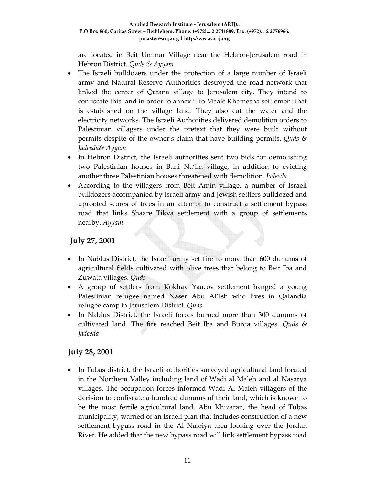are located in Beit Ummar Village near the Hebron‐Jerusalem road in Hebron District. *Quds & Ayyam*

- The Israeli bulldozers under the protection of a large number of Israeli army and Natural Reserve Authorities destroyed the road network that linked the center of Qatana village to Jerusalem city. They intend to confiscate this land in order to annex it to Maale Khamesha settlement that is established on the village land. They also cut the water and the electricity networks. The Israeli Authorities delivered demolition orders to Palestinian villagers under the pretext that they were built without permits despite of the owner's claim that have building permits. *Quds & Jadeeda& Ayyam*
- In Hebron District, the Israeli authorities sent two bids for demolishing two Palestinian houses in Bani Na'im village, in addition to evicting another three Palestinian houses threatened with demolition. *Jadeeda*
- According to the villagers from Beit Amin village, a number of Israeli bulldozers accompanied by Israeli army and Jewish settlers bulldozed and uprooted scores of trees in an attempt to construct a settlement bypass road that links Shaare Tikva settlement with a group of settlements nearby. *Ayyam*

# **July 27, 2001**

- In Nablus District, the Israeli army set fire to more than 600 dunums of agricultural fields cultivated with olive trees that belong to Beit Iba and Zuwata villages. *Quds*
- A group of settlers from Kokhav Yaacov settlement hanged a young Palestinian refugee named Naser Abu Al'Ish who lives in Qalandia refugee camp in Jerusalem District. *Quds*
- In Nablus District, the Israeli forces burned more than 300 dunums of cultivated land. The fire reached Beit Iba and Burqa villages. *Quds & Jadeeda*

# **July 28, 2001**

• In Tubas district, the Israeli authorities surveyed agricultural land located in the Northern Valley including land of Wadi al Maleh and al Nasarya villages. The occupation forces informed Wadi Al Maleh villagers of the decision to confiscate a hundred dunums of their land, which is known to be the most fertile agricultural land. Abu Khizaran, the head of Tubas municipality, warned of an Israeli plan that includes construction of a new settlement bypass road in the Al Nasriya area looking over the Jordan River. He added that the new bypass road will link settlement bypass road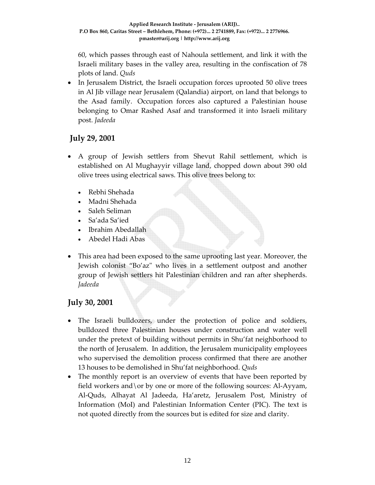60, which passes through east of Nahoula settlement, and link it with the Israeli military bases in the valley area, resulting in the confiscation of 78 plots of land. *Quds*

• In Jerusalem District, the Israeli occupation forces uprooted 50 olive trees in Al Jib village near Jerusalem (Qalandia) airport, on land that belongs to the Asad family. Occupation forces also captured a Palestinian house belonging to Omar Rashed Asaf and transformed it into Israeli military post. *Jadeeda*

### **July 29, 2001**

- A group of Jewish settlers from Shevut Rahil settlement, which is established on Al Mughayyir village land, chopped down about 390 old olive trees using electrical saws. This olive trees belong to:
	- Rebhi Shehada
	- Madni Shehada
	- Saleh Seliman
	- Sa'ada Sa'ied
	- Ibrahim Abedallah
	- Abedel Hadi Abas
- This area had been exposed to the same uprooting last year. Moreover, the Jewish colonist "Bo'az" who lives in a settlement outpost and another group of Jewish settlers hit Palestinian children and ran after shepherds. *Jadeeda*

#### **July 30, 2001**

- The Israeli bulldozers, under the protection of police and soldiers, bulldozed three Palestinian houses under construction and water well under the pretext of building without permits in Shu'fat neighborhood to the north of Jerusalem. In addition, the Jerusalem municipality employees who supervised the demolition process confirmed that there are another 13 houses to be demolished in Shu'fat neighborhood. *Quds*
- The monthly report is an overview of events that have been reported by field workers and \or by one or more of the following sources: Al-Ayyam, Al‐Quds, Alhayat Al Jadeeda, Ha'aretz, Jerusalem Post, Ministry of Information (MoI) and Palestinian Information Center (PIC). The text is not quoted directly from the sources but is edited for size and clarity.